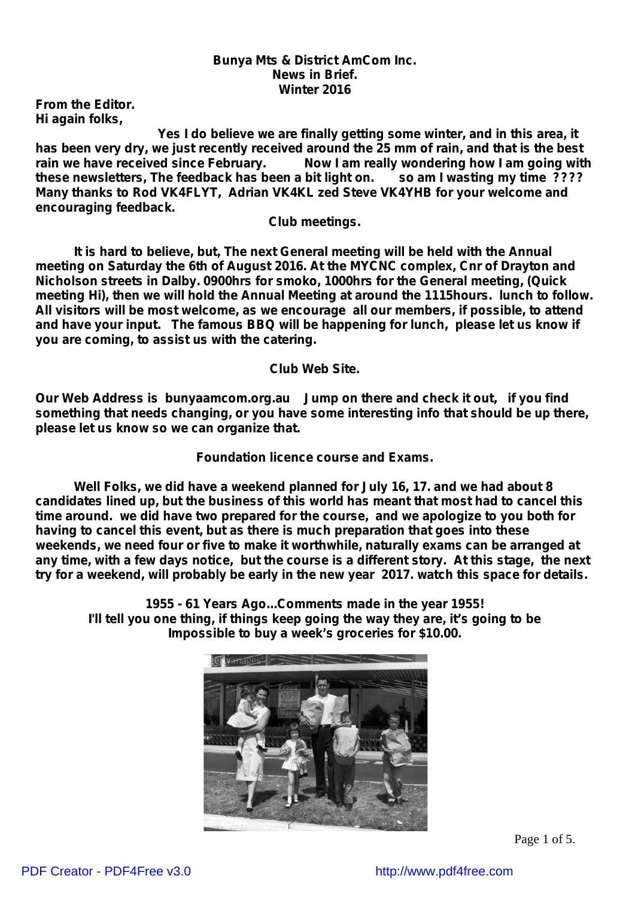#### *Bunya Mts & District AmCom Inc. News in Brief. Winter 2016*

*From the Editor. Hi again folks,*

*Yes I do believe we are finally getting some winter, and in this area, it has been very dry, we just recently received around the 25 mm of rain, and that is the best rain we have received since February. Now I am really wondering how I am going with these newsletters, The feedback has been a bit light on. so am I wasting my time ???? Many thanks to Rod VK4FLYT, Adrian VK4KL zed Steve VK4YHB for your welcome and encouraging feedback.*

*Club meetings.*

*It is hard to believe, but, The next General meeting will be held with the Annual meeting on Saturday the 6th of August 2016. At the MYCNC complex, Cnr of Drayton and Nicholson streets in Dalby. 0900hrs for smoko, 1000hrs for the General meeting, (Quick meeting Hi), then we will hold the Annual Meeting at around the 1115hours. lunch to follow. All visitors will be most welcome, as we encourage all our members, if possible, to attend and have your input. The famous BBQ will be happening for lunch, please let us know if you are coming, to assist us with the catering.*

*Club Web Site.*

*Our Web Address is bunyaamcom.org.au Jump on there and check it out, if you find something that needs changing, or you have some interesting info that should be up there, please let us know so we can organize that.*

*Foundation licence course and Exams.*

*Well Folks, we did have a weekend planned for July 16, 17. and we had about 8 candidates lined up, but the business of this world has meant that most had to cancel this time around. we did have two prepared for the course, and we apologize to you both for having to cancel this event, but as there is much preparation that goes into these weekends, we need four or five to make it worthwhile, naturally exams can be arranged at* any time, with a few days notice, but the course is a different story. At this stage, the next *try for a weekend, will probably be early in the new year 2017. watch this space for details.*

**1955 - 61 Years Ago...Comments made in the year 1955! I'll tell you one thing, if things keep going the way they are, it's going to be Impossible to buy a week's groceries for \$10.00.**



Page 1 of 5.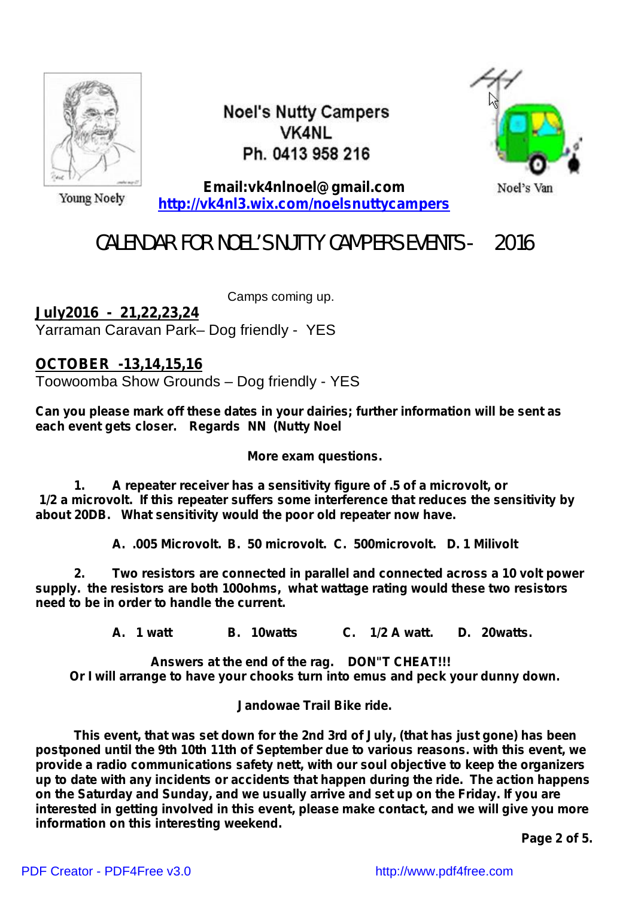

**Noel's Nutty Campers VK4NL** Ph. 0413 958 216



Young Noely

**Email:vk4nlnoel@gmail.com <http://vk4nl3.wix.com/noelsnuttycampers>**

Noel's Van

# CALENDAR FOR NOEL'S NUTTY CAMPERS EVENTS - 2016

Camps coming up. **July2016 - 21,22,23,24**

Yarraman Caravan Park– Dog friendly - YES

**OCTOBER -13,14,15,16**

Toowoomba Show Grounds – Dog friendly - YES

**Can you please mark off these dates in your dairies; further information will be sent as each event gets closer. Regards NN (Nutty Noel**

*More exam questions.*

*1. A repeater receiver has a sensitivity figure of .5 of a microvolt, or 1/2 a microvolt. If this repeater suffers some interference that reduces the sensitivity by about 20DB. What sensitivity would the poor old repeater now have.*

*A. .005 Microvolt. B. 50 microvolt. C. 500microvolt. D. 1 Milivolt*

*2. Two resistors are connected in parallel and connected across a 10 volt power supply. the resistors are both 100ohms, what wattage rating would these two resistors need to be in order to handle the current.*

*A. 1 watt B. 10watts C. 1/2 A watt. D. 20watts.*

*Answers at the end of the rag. DON"T CHEAT!!! Or I will arrange to have your chooks turn into emus and peck your dunny down.*

*Jandowae Trail Bike ride.*

*This event, that was set down for the 2nd 3rd of July, (that has just gone) has been postponed until the 9th 10th 11th of September due to various reasons. with this event, we provide a radio communications safety nett, with our soul objective to keep the organizers up to date with any incidents or accidents that happen during the ride. The action happens on the Saturday and Sunday, and we usually arrive and set up on the Friday. If you are interested in getting involved in this event, please make contact, and we will give you more information on this interesting weekend.*

*Page 2 of 5.*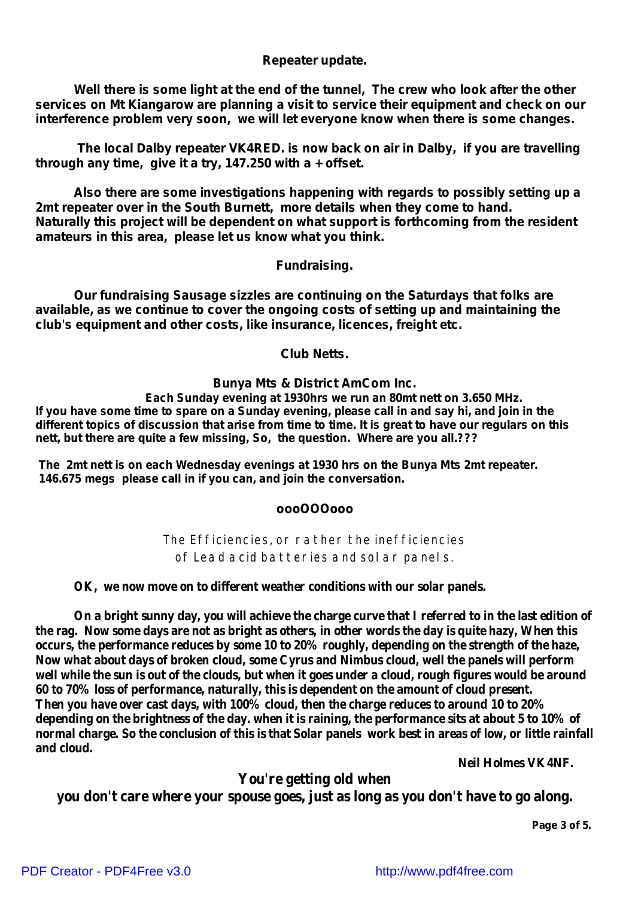## *Repeater update.*

*Well there is some light at the end of the tunnel, The crew who look after the other services on Mt Kiangarow are planning a visit to service their equipment and check on our interference problem very soon, we will let everyone know when there is some changes.*

*The local Dalby repeater VK4RED. is now back on air in Dalby, if you are travelling through any time, give it a try, 147.250 with a + offset.*

*Also there are some investigations happening with regards to possibly setting up a 2mt repeater over in the South Burnett, more details when they come to hand. Naturally this project will be dependent on what support is forthcoming from the resident amateurs in this area, please let us know what you think.*

#### **Fundraising.**

**Our fundraising Sausage sizzles are continuing on the Saturdays that folks are available, as we continue to cover the ongoing costs of setting up and maintaining the club's equipment and other costs, like insurance, licences, freight etc.**

#### **Club Netts.**

#### **Bunya Mts & District AmCom Inc.**

*Each Sunday evening at 1930hrs we run an 80mt nett on 3.650 MHz.* If you have some time to spare on a Sunday evening, please call in and say hi, and join in the different topics of discussion that arise from time to time. It is great to have our regulars on this *nett, but there are quite a few missing, So, the question. Where are you all.???*

*The 2mt nett is on each Wednesday evenings at 1930 hrs on the Bunya Mts 2mt repeater. 146.675 megs please call in if you can, and join the conversation.*

#### *oooOOOooo*

The Efficiencies, or rather the inefficiencies of Lead acid batteries and solar panels.

#### **OK, we now move on to different weather conditions with our solar panels.**

On a bright sunny day, you will achieve the charge curve that I referred to in the last edition of the rag. Now some days are not as bright as others, in other words the day is quite hazy, When this **occurs, the performance reduces by some 10 to 20% roughly, depending on the strength of the haze, Now what about days of broken cloud, some Cyrus and Nimbus cloud, well the panels will perform** well while the sun is out of the clouds, but when it goes under a cloud, rough figures would be around **60 to 70% loss of performance, naturally, this is dependent on the amount of cloud present. Then you have over cast days, with 100% cloud, then the charge reduces to around 10 to 20%** depending on the brightness of the day, when it is raining, the performance sits at about 5 to 10% of normal charge. So the conclusion of this is that Solar panels work best in areas of low, or little rainfall **and cloud.**

**Neil Holmes VK4NF.**

## **You're getting old when**

**you don't care where your spouse goes, just as long as you don't have to go along.**

**Page 3 of 5.**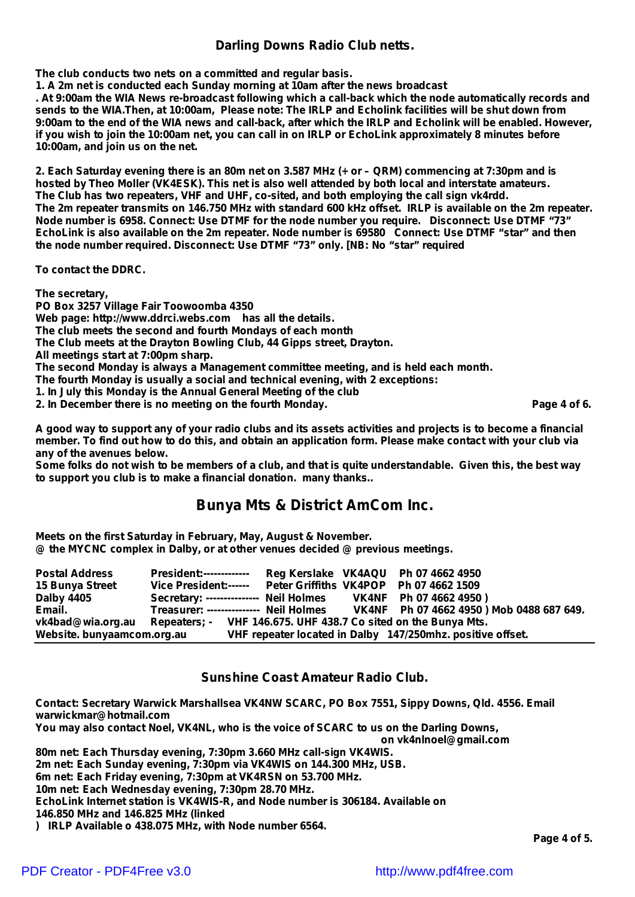### *Darling Downs Radio Club netts.*

**The club conducts two nets on a committed and regular basis.**

**1. A 2m net is conducted each Sunday morning at 10am after the news broadcast**

. At 9:00am the WIA News re-broadcast following which a call-back which the node automatically records and sends to the WIA. Then, at 10:00am, Please note: The IRLP and Echolink facilities will be shut down from 9:00am to the end of the WIA news and call-back, after which the IRLP and Echolink will be enabled. However, if you wish to join the 10:00am net, you can call in on IRLP or EchoLink approximately 8 minutes before **10:00am, and join us on the net.**

2. Each Saturday evening there is an 80m net on 3.587 MHz (+ or - QRM) commencing at 7:30pm and is **hosted by Theo Moller (VK4ESK). This net is also well attended by both local and interstate amateurs. The Club has two repeaters, VHF and UHF, co-sited, and both employing the call sign vk4rdd.** The 2m repeater transmits on 146.750 MHz with standard 600 kHz offset. IRLP is available on the 2m repeater. **Node number is 6958. Connect: Use DTMF for the node number you require. Disconnect: Use DTMF "73"** EchoLink is also available on the 2m repeater. Node number is 69580 Connect: Use DTMF "star" and then **the node number required. Disconnect: Use DTMF "73" only. [NB: No "star" required**

**To contact the DDRC.**

**The secretary, PO Box 3257 Village Fair Toowoomba 4350 Web page: [http://www.ddrci.webs.com](http://www.ddrci.webs.comhas) has all the details. The club meets the second and fourth Mondays of each month The Club meets at the Drayton Bowling Club, 44 Gipps street, Drayton. All meetings start at 7:00pm sharp. The second Monday is always a Management committee meeting, and is held each month. The fourth Monday is usually a social and technical evening, with 2 exceptions: 1. In July this Monday is the Annual General Meeting of the club 2. In December there is no meeting on the fourth Monday. Page 4 of 6.**

A good way to support any of your radio clubs and its assets activities and projects is to become a financial member. To find out how to do this, and obtain an application form. Please make contact with your club via *any of the avenues below.*

Some folks do not wish to be members of a club, and that is quite understandable. Given this, the best way *to support you club is to make a financial donation. many thanks..*

## **Bunya Mts & District AmCom Inc.**

**Meets on the first Saturday in February, May, August & November. @ the MYCNC complex in Dalby, or at other venues decided @ previous meetings.**

| <b>Postal Address</b>      | <b>President:-------------</b>                                                  |  | Reg Kerslake VK4AQU Ph 07 4662 4950                        |  |
|----------------------------|---------------------------------------------------------------------------------|--|------------------------------------------------------------|--|
| 15 Bunya Street            | Vice President:------ Peter Griffiths VK4POP Ph 07 4662 1509                    |  |                                                            |  |
| <b>Dalby 4405</b>          | Secretary: --------------- Neil Holmes VK4NF Ph 07 4662 4950)                   |  |                                                            |  |
| Email.                     | Treasurer: -------------- Neil Holmes VK4NF Ph 07 4662 4950 ) Mob 0488 687 649. |  |                                                            |  |
| vk4bad@wia.org.au          | Repeaters; - VHF 146.675. UHF 438.7 Co sited on the Bunya Mts.                  |  |                                                            |  |
| Website. bunyaamcom.org.au |                                                                                 |  | VHF repeater located in Dalby 147/250mhz. positive offset. |  |

#### **Sunshine Coast Amateur Radio Club.**

**Contact: Secretary Warwick Marshallsea VK4NW SCARC, PO Box 7551, Sippy Downs, Qld. 4556. Email warwickmar@hotmail.com You may also contact Noel, VK4NL, who is the voice of SCARC to us on the Darling Downs, on vk4nlnoel@gmail.com 80m net: Each Thursday evening, 7:30pm 3.660 MHz call-sign VK4WIS. 2m net: Each Sunday evening, 7:30pm via VK4WIS on 144.300 MHz, USB. 6m net: Each Friday evening, 7:30pm at VK4RSN on 53.700 MHz. 10m net: Each Wednesday evening, 7:30pm 28.70 MHz. EchoLink Internet station is VK4WIS-R, and Node number is 306184. Available on 146.850 MHz and 146.825 MHz (linked ) IRLP Available o 438.075 MHz, with Node number 6564.**